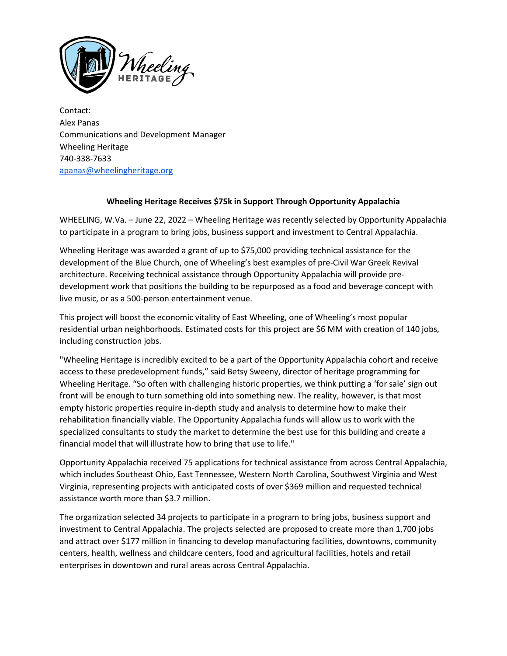

Contact: Alex Panas Communications and Development Manager Wheeling Heritage 740-338-7633 [apanas@wheelingheritage.org](mailto:apanas@wheelingheritage.org)

## **Wheeling Heritage Receives \$75k in Support Through Opportunity Appalachia**

WHEELING, W.Va. – June 22, 2022 – Wheeling Heritage was recently selected by Opportunity Appalachia to participate in a program to bring jobs, business support and investment to Central Appalachia.

Wheeling Heritage was awarded a grant of up to \$75,000 providing technical assistance for the development of the Blue Church, one of Wheeling's best examples of pre-Civil War Greek Revival architecture. Receiving technical assistance through Opportunity Appalachia will provide predevelopment work that positions the building to be repurposed as a food and beverage concept with live music, or as a 500-person entertainment venue.

This project will boost the economic vitality of East Wheeling, one of Wheeling's most popular residential urban neighborhoods. Estimated costs for this project are \$6 MM with creation of 140 jobs, including construction jobs.

"Wheeling Heritage is incredibly excited to be a part of the Opportunity Appalachia cohort and receive access to these predevelopment funds," said Betsy Sweeny, director of heritage programming for Wheeling Heritage. "So often with challenging historic properties, we think putting a 'for sale' sign out front will be enough to turn something old into something new. The reality, however, is that most empty historic properties require in-depth study and analysis to determine how to make their rehabilitation financially viable. The Opportunity Appalachia funds will allow us to work with the specialized consultants to study the market to determine the best use for this building and create a financial model that will illustrate how to bring that use to life."

Opportunity Appalachia received 75 applications for technical assistance from across Central Appalachia, which includes Southeast Ohio, East Tennessee, Western North Carolina, Southwest Virginia and West Virginia, representing projects with anticipated costs of over \$369 million and requested technical assistance worth more than \$3.7 million.

The organization selected 34 projects to participate in a program to bring jobs, business support and investment to Central Appalachia. The projects selected are proposed to create more than 1,700 jobs and attract over \$177 million in financing to develop manufacturing facilities, downtowns, community centers, health, wellness and childcare centers, food and agricultural facilities, hotels and retail enterprises in downtown and rural areas across Central Appalachia.